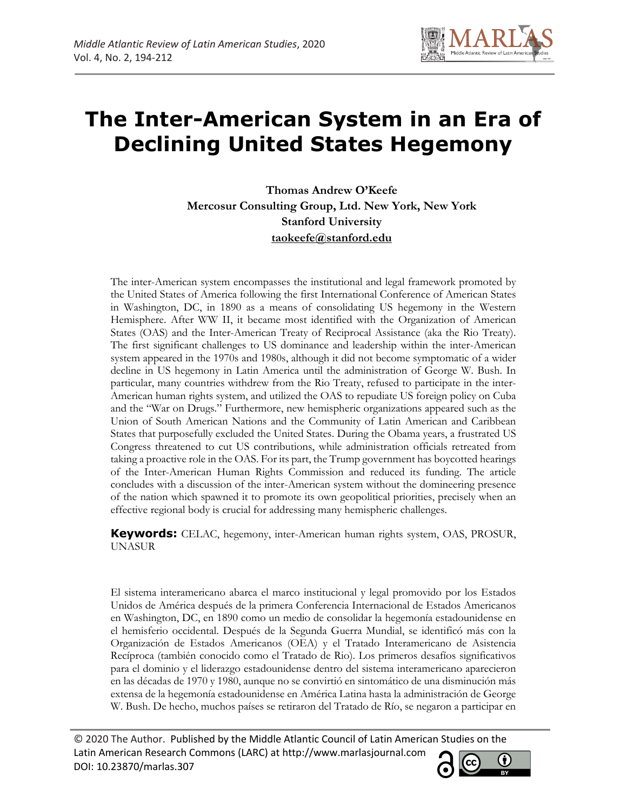

**Thomas Andrew O'Keefe Mercosur Consulting Group, Ltd. New York, New York Stanford University taokeefe@stanford.edu**

The inter-American system encompasses the institutional and legal framework promoted by the United States of America following the first International Conference of American States in Washington, DC, in 1890 as a means of consolidating US hegemony in the Western Hemisphere. After WW II, it became most identified with the Organization of American States (OAS) and the Inter-American Treaty of Reciprocal Assistance (aka the Rio Treaty). The first significant challenges to US dominance and leadership within the inter-American system appeared in the 1970s and 1980s, although it did not become symptomatic of a wider decline in US hegemony in Latin America until the administration of George W. Bush. In particular, many countries withdrew from the Rio Treaty, refused to participate in the inter-American human rights system, and utilized the OAS to repudiate US foreign policy on Cuba and the "War on Drugs." Furthermore, new hemispheric organizations appeared such as the Union of South American Nations and the Community of Latin American and Caribbean States that purposefully excluded the United States. During the Obama years, a frustrated US Congress threatened to cut US contributions, while administration officials retreated from taking a proactive role in the OAS. For its part, the Trump government has boycotted hearings of the Inter-American Human Rights Commission and reduced its funding. The article concludes with a discussion of the inter-American system without the domineering presence of the nation which spawned it to promote its own geopolitical priorities, precisely when an effective regional body is crucial for addressing many hemispheric challenges.

**Keywords:** CELAC, hegemony, inter-American human rights system, OAS, PROSUR, UNASUR

El sistema interamericano abarca el marco institucional y legal promovido por los Estados Unidos de América después de la primera Conferencia Internacional de Estados Americanos en Washington, DC, en 1890 como un medio de consolidar la hegemonía estadounidense en el hemisferio occidental. Después de la Segunda Guerra Mundial, se identificó más con la Organización de Estados Americanos (OEA) y el Tratado Interamericano de Asistencia Recíproca (también conocido como el Tratado de Rio). Los primeros desafíos significativos para el dominio y el liderazgo estadounidense dentro del sistema interamericano aparecieron en las décadas de 1970 y 1980, aunque no se convirtió en sintomático de una disminución más extensa de la hegemonía estadounidense en América Latina hasta la administración de George W. Bush. De hecho, muchos países se retiraron del Tratado de Río, se negaron a participar en

© 2020 The Author. Published by the Middle Atlantic Council of Latin American Studies on the Latin American Research Commons (LARC) at http://www.marlasjournal.com **CC** DOI: 10.23870/marlas.307

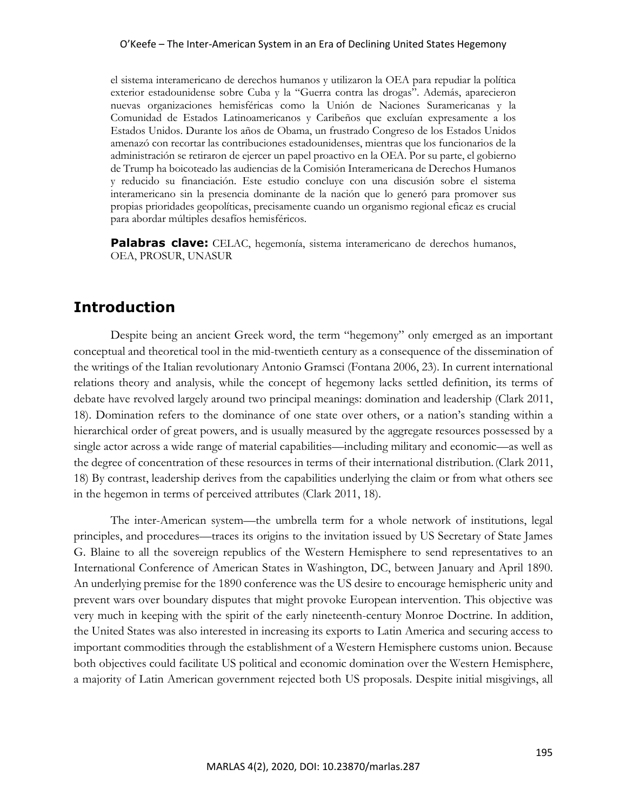el sistema interamericano de derechos humanos y utilizaron la OEA para repudiar la política exterior estadounidense sobre Cuba y la "Guerra contra las drogas". Además, aparecieron nuevas organizaciones hemisféricas como la Unión de Naciones Suramericanas y la Comunidad de Estados Latinoamericanos y Caribeños que excluían expresamente a los Estados Unidos. Durante los años de Obama, un frustrado Congreso de los Estados Unidos amenazó con recortar las contribuciones estadounidenses, mientras que los funcionarios de la administración se retiraron de ejercer un papel proactivo en la OEA. Por su parte, el gobierno de Trump ha boicoteado las audiencias de la Comisión Interamericana de Derechos Humanos y reducido su financiación. Este estudio concluye con una discusión sobre el sistema interamericano sin la presencia dominante de la nación que lo generó para promover sus propias prioridades geopolíticas, precisamente cuando un organismo regional eficaz es crucial para abordar múltiples desafíos hemisféricos.

**Palabras clave:** CELAC, hegemonía, sistema interamericano de derechos humanos, OEA, PROSUR, UNASUR

### **Introduction**

Despite being an ancient Greek word, the term "hegemony" only emerged as an important conceptual and theoretical tool in the mid-twentieth century as a consequence of the dissemination of the writings of the Italian revolutionary Antonio Gramsci (Fontana 2006, 23). In current international relations theory and analysis, while the concept of hegemony lacks settled definition, its terms of debate have revolved largely around two principal meanings: domination and leadership (Clark 2011, 18). Domination refers to the dominance of one state over others, or a nation's standing within a hierarchical order of great powers, and is usually measured by the aggregate resources possessed by a single actor across a wide range of material capabilities—including military and economic—as well as the degree of concentration of these resources in terms of their international distribution.(Clark 2011, 18) By contrast, leadership derives from the capabilities underlying the claim or from what others see in the hegemon in terms of perceived attributes (Clark 2011, 18).

The inter-American system—the umbrella term for a whole network of institutions, legal principles, and procedures—traces its origins to the invitation issued by US Secretary of State James G. Blaine to all the sovereign republics of the Western Hemisphere to send representatives to an International Conference of American States in Washington, DC, between January and April 1890. An underlying premise for the 1890 conference was the US desire to encourage hemispheric unity and prevent wars over boundary disputes that might provoke European intervention. This objective was very much in keeping with the spirit of the early nineteenth-century Monroe Doctrine. In addition, the United States was also interested in increasing its exports to Latin America and securing access to important commodities through the establishment of a Western Hemisphere customs union. Because both objectives could facilitate US political and economic domination over the Western Hemisphere, a majority of Latin American government rejected both US proposals. Despite initial misgivings, all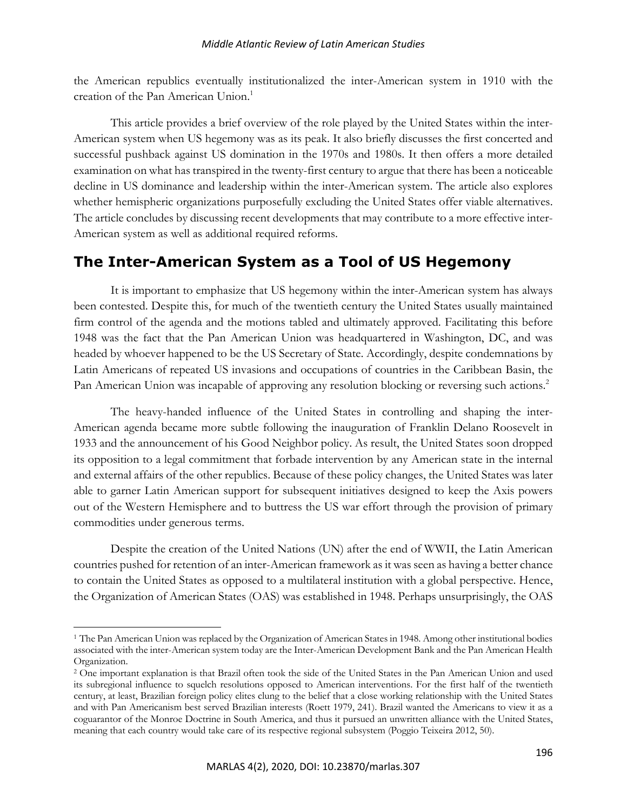the American republics eventually institutionalized the inter-American system in 1910 with the creation of the Pan American Union.<sup>1</sup>

This article provides a brief overview of the role played by the United States within the inter-American system when US hegemony was as its peak. It also briefly discusses the first concerted and successful pushback against US domination in the 1970s and 1980s. It then offers a more detailed examination on what has transpired in the twenty-first century to argue that there has been a noticeable decline in US dominance and leadership within the inter-American system. The article also explores whether hemispheric organizations purposefully excluding the United States offer viable alternatives. The article concludes by discussing recent developments that may contribute to a more effective inter-American system as well as additional required reforms.

### **The Inter-American System as a Tool of US Hegemony**

It is important to emphasize that US hegemony within the inter-American system has always been contested. Despite this, for much of the twentieth century the United States usually maintained firm control of the agenda and the motions tabled and ultimately approved. Facilitating this before 1948 was the fact that the Pan American Union was headquartered in Washington, DC, and was headed by whoever happened to be the US Secretary of State. Accordingly, despite condemnations by Latin Americans of repeated US invasions and occupations of countries in the Caribbean Basin, the Pan American Union was incapable of approving any resolution blocking or reversing such actions.<sup>2</sup>

The heavy-handed influence of the United States in controlling and shaping the inter-American agenda became more subtle following the inauguration of Franklin Delano Roosevelt in 1933 and the announcement of his Good Neighbor policy. As result, the United States soon dropped its opposition to a legal commitment that forbade intervention by any American state in the internal and external affairs of the other republics. Because of these policy changes, the United States was later able to garner Latin American support for subsequent initiatives designed to keep the Axis powers out of the Western Hemisphere and to buttress the US war effort through the provision of primary commodities under generous terms.

Despite the creation of the United Nations (UN) after the end of WWII, the Latin American countries pushed for retention of an inter-American framework as it was seen as having a better chance to contain the United States as opposed to a multilateral institution with a global perspective. Hence, the Organization of American States (OAS) was established in 1948. Perhaps unsurprisingly, the OAS

<sup>1</sup> The Pan American Union was replaced by the Organization of American States in 1948. Among other institutional bodies associated with the inter-American system today are the Inter-American Development Bank and the Pan American Health Organization.

<sup>2</sup> One important explanation is that Brazil often took the side of the United States in the Pan American Union and used its subregional influence to squelch resolutions opposed to American interventions. For the first half of the twentieth century, at least, Brazilian foreign policy elites clung to the belief that a close working relationship with the United States and with Pan Americanism best served Brazilian interests (Roett 1979, 241). Brazil wanted the Americans to view it as a coguarantor of the Monroe Doctrine in South America, and thus it pursued an unwritten alliance with the United States, meaning that each country would take care of its respective regional subsystem (Poggio Teixeira 2012, 50).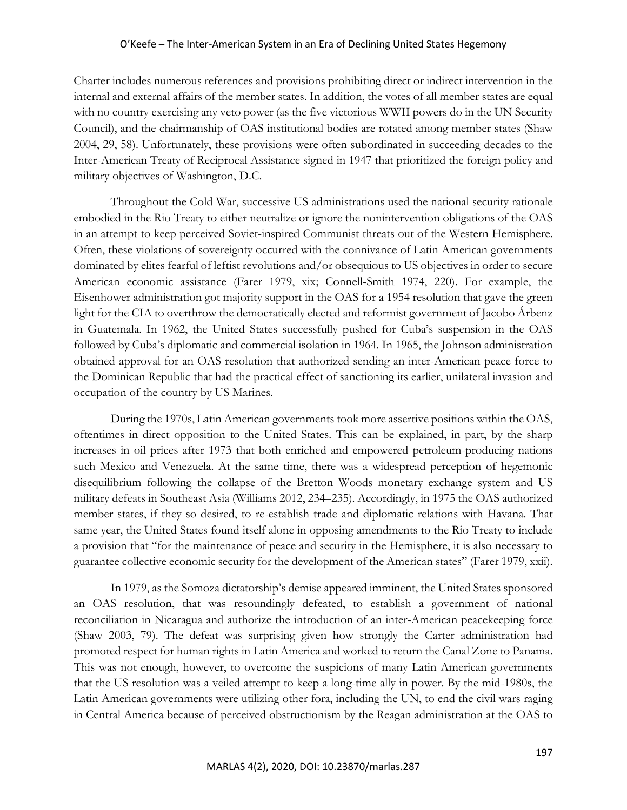Charter includes numerous references and provisions prohibiting direct or indirect intervention in the internal and external affairs of the member states. In addition, the votes of all member states are equal with no country exercising any veto power (as the five victorious WWII powers do in the UN Security Council), and the chairmanship of OAS institutional bodies are rotated among member states (Shaw 2004, 29, 58). Unfortunately, these provisions were often subordinated in succeeding decades to the Inter-American Treaty of Reciprocal Assistance signed in 1947 that prioritized the foreign policy and military objectives of Washington, D.C.

Throughout the Cold War, successive US administrations used the national security rationale embodied in the Rio Treaty to either neutralize or ignore the nonintervention obligations of the OAS in an attempt to keep perceived Soviet-inspired Communist threats out of the Western Hemisphere. Often, these violations of sovereignty occurred with the connivance of Latin American governments dominated by elites fearful of leftist revolutions and/or obsequious to US objectives in order to secure American economic assistance (Farer 1979, xix; Connell-Smith 1974, 220). For example, the Eisenhower administration got majority support in the OAS for a 1954 resolution that gave the green light for the CIA to overthrow the democratically elected and reformist government of Jacobo Árbenz in Guatemala. In 1962, the United States successfully pushed for Cuba's suspension in the OAS followed by Cuba's diplomatic and commercial isolation in 1964. In 1965, the Johnson administration obtained approval for an OAS resolution that authorized sending an inter-American peace force to the Dominican Republic that had the practical effect of sanctioning its earlier, unilateral invasion and occupation of the country by US Marines.

During the 1970s, Latin American governments took more assertive positions within the OAS, oftentimes in direct opposition to the United States. This can be explained, in part, by the sharp increases in oil prices after 1973 that both enriched and empowered petroleum-producing nations such Mexico and Venezuela. At the same time, there was a widespread perception of hegemonic disequilibrium following the collapse of the Bretton Woods monetary exchange system and US military defeats in Southeast Asia (Williams 2012, 234–235). Accordingly, in 1975 the OAS authorized member states, if they so desired, to re-establish trade and diplomatic relations with Havana. That same year, the United States found itself alone in opposing amendments to the Rio Treaty to include a provision that "for the maintenance of peace and security in the Hemisphere, it is also necessary to guarantee collective economic security for the development of the American states" (Farer 1979, xxii).

In 1979, as the Somoza dictatorship's demise appeared imminent, the United States sponsored an OAS resolution, that was resoundingly defeated, to establish a government of national reconciliation in Nicaragua and authorize the introduction of an inter-American peacekeeping force (Shaw 2003, 79). The defeat was surprising given how strongly the Carter administration had promoted respect for human rights in Latin America and worked to return the Canal Zone to Panama. This was not enough, however, to overcome the suspicions of many Latin American governments that the US resolution was a veiled attempt to keep a long-time ally in power. By the mid-1980s, the Latin American governments were utilizing other fora, including the UN, to end the civil wars raging in Central America because of perceived obstructionism by the Reagan administration at the OAS to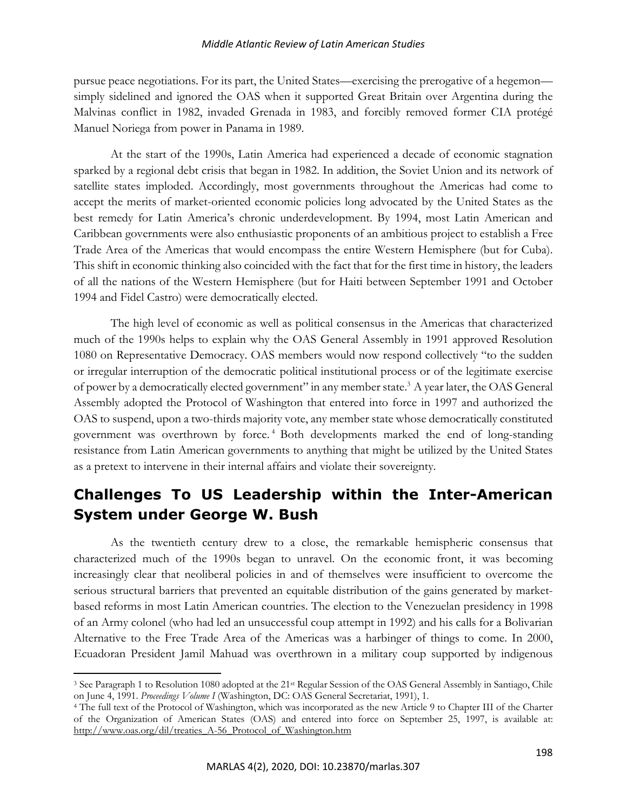#### *Middle Atlantic Review of Latin American Studies*

pursue peace negotiations. For its part, the United States—exercising the prerogative of a hegemon simply sidelined and ignored the OAS when it supported Great Britain over Argentina during the Malvinas conflict in 1982, invaded Grenada in 1983, and forcibly removed former CIA protégé Manuel Noriega from power in Panama in 1989.

At the start of the 1990s, Latin America had experienced a decade of economic stagnation sparked by a regional debt crisis that began in 1982. In addition, the Soviet Union and its network of satellite states imploded. Accordingly, most governments throughout the Americas had come to accept the merits of market-oriented economic policies long advocated by the United States as the best remedy for Latin America's chronic underdevelopment. By 1994, most Latin American and Caribbean governments were also enthusiastic proponents of an ambitious project to establish a Free Trade Area of the Americas that would encompass the entire Western Hemisphere (but for Cuba). This shift in economic thinking also coincided with the fact that for the first time in history, the leaders of all the nations of the Western Hemisphere (but for Haiti between September 1991 and October 1994 and Fidel Castro) were democratically elected.

The high level of economic as well as political consensus in the Americas that characterized much of the 1990s helps to explain why the OAS General Assembly in 1991 approved Resolution 1080 on Representative Democracy. OAS members would now respond collectively "to the sudden or irregular interruption of the democratic political institutional process or of the legitimate exercise of power by a democratically elected government" in any member state.<sup>3</sup> A year later, the OAS General Assembly adopted the Protocol of Washington that entered into force in 1997 and authorized the OAS to suspend, upon a two-thirds majority vote, any member state whose democratically constituted government was overthrown by force. <sup>4</sup> Both developments marked the end of long-standing resistance from Latin American governments to anything that might be utilized by the United States as a pretext to intervene in their internal affairs and violate their sovereignty.

## **Challenges To US Leadership within the Inter-American System under George W. Bush**

As the twentieth century drew to a close, the remarkable hemispheric consensus that characterized much of the 1990s began to unravel. On the economic front, it was becoming increasingly clear that neoliberal policies in and of themselves were insufficient to overcome the serious structural barriers that prevented an equitable distribution of the gains generated by marketbased reforms in most Latin American countries. The election to the Venezuelan presidency in 1998 of an Army colonel (who had led an unsuccessful coup attempt in 1992) and his calls for a Bolivarian Alternative to the Free Trade Area of the Americas was a harbinger of things to come. In 2000, Ecuadoran President Jamil Mahuad was overthrown in a military coup supported by indigenous

<sup>&</sup>lt;sup>3</sup> See Paragraph 1 to Resolution 1080 adopted at the 21<sup>st</sup> Regular Session of the OAS General Assembly in Santiago, Chile on June 4, 1991. *Proceedings Volume I* (Washington, DC: OAS General Secretariat, 1991), 1.

<sup>4</sup> The full text of the Protocol of Washington, which was incorporated as the new Article 9 to Chapter III of the Charter of the Organization of American States (OAS) and entered into force on September 25, 1997, is available at: http://www.oas.org/dil/treaties\_A-56\_Protocol\_of\_Washington.htm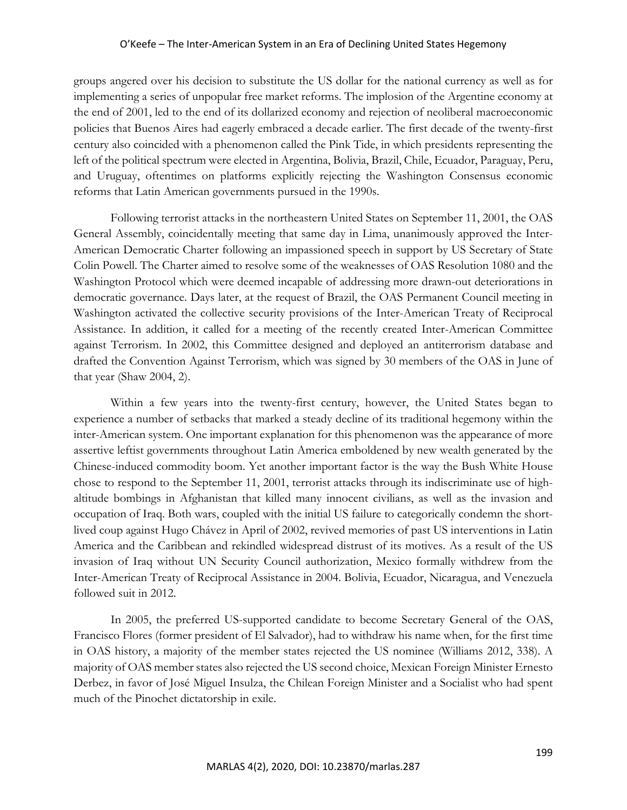groups angered over his decision to substitute the US dollar for the national currency as well as for implementing a series of unpopular free market reforms. The implosion of the Argentine economy at the end of 2001, led to the end of its dollarized economy and rejection of neoliberal macroeconomic policies that Buenos Aires had eagerly embraced a decade earlier. The first decade of the twenty-first century also coincided with a phenomenon called the Pink Tide, in which presidents representing the left of the political spectrum were elected in Argentina, Bolivia, Brazil, Chile, Ecuador, Paraguay, Peru, and Uruguay, oftentimes on platforms explicitly rejecting the Washington Consensus economic reforms that Latin American governments pursued in the 1990s.

Following terrorist attacks in the northeastern United States on September 11, 2001, the OAS General Assembly, coincidentally meeting that same day in Lima, unanimously approved the Inter-American Democratic Charter following an impassioned speech in support by US Secretary of State Colin Powell. The Charter aimed to resolve some of the weaknesses of OAS Resolution 1080 and the Washington Protocol which were deemed incapable of addressing more drawn-out deteriorations in democratic governance. Days later, at the request of Brazil, the OAS Permanent Council meeting in Washington activated the collective security provisions of the Inter-American Treaty of Reciprocal Assistance. In addition, it called for a meeting of the recently created Inter-American Committee against Terrorism. In 2002, this Committee designed and deployed an antiterrorism database and drafted the Convention Against Terrorism, which was signed by 30 members of the OAS in June of that year (Shaw 2004, 2).

Within a few years into the twenty-first century, however, the United States began to experience a number of setbacks that marked a steady decline of its traditional hegemony within the inter-American system. One important explanation for this phenomenon was the appearance of more assertive leftist governments throughout Latin America emboldened by new wealth generated by the Chinese-induced commodity boom. Yet another important factor is the way the Bush White House chose to respond to the September 11, 2001, terrorist attacks through its indiscriminate use of highaltitude bombings in Afghanistan that killed many innocent civilians, as well as the invasion and occupation of Iraq. Both wars, coupled with the initial US failure to categorically condemn the shortlived coup against Hugo Chávez in April of 2002, revived memories of past US interventions in Latin America and the Caribbean and rekindled widespread distrust of its motives. As a result of the US invasion of Iraq without UN Security Council authorization, Mexico formally withdrew from the Inter-American Treaty of Reciprocal Assistance in 2004. Bolivia, Ecuador, Nicaragua, and Venezuela followed suit in 2012.

In 2005, the preferred US-supported candidate to become Secretary General of the OAS, Francisco Flores (former president of El Salvador), had to withdraw his name when, for the first time in OAS history, a majority of the member states rejected the US nominee (Williams 2012, 338). A majority of OAS member states also rejected the US second choice, Mexican Foreign Minister Ernesto Derbez, in favor of José Miguel Insulza, the Chilean Foreign Minister and a Socialist who had spent much of the Pinochet dictatorship in exile.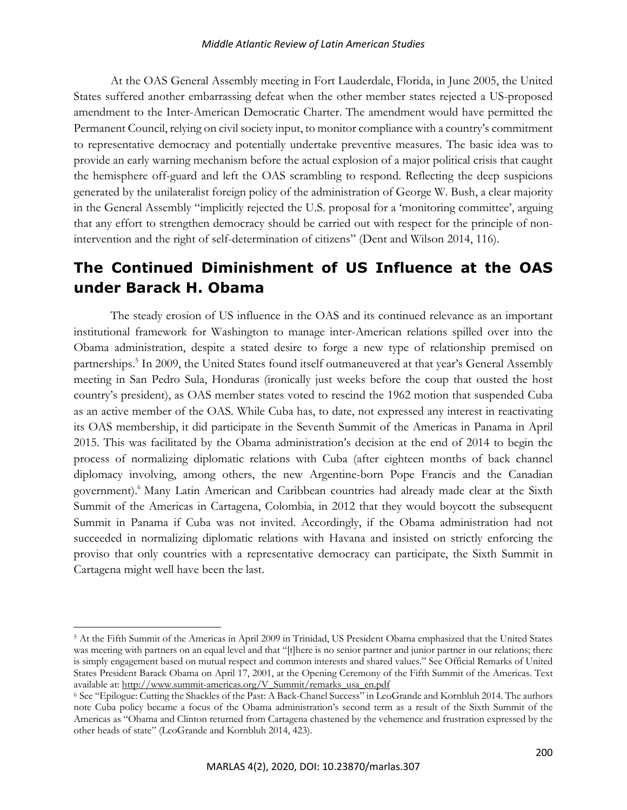At the OAS General Assembly meeting in Fort Lauderdale, Florida, in June 2005, the United States suffered another embarrassing defeat when the other member states rejected a US-proposed amendment to the Inter-American Democratic Charter. The amendment would have permitted the Permanent Council, relying on civil society input, to monitor compliance with a country's commitment to representative democracy and potentially undertake preventive measures. The basic idea was to provide an early warning mechanism before the actual explosion of a major political crisis that caught the hemisphere off-guard and left the OAS scrambling to respond. Reflecting the deep suspicions generated by the unilateralist foreign policy of the administration of George W. Bush, a clear majority in the General Assembly "implicitly rejected the U.S. proposal for a 'monitoring committee', arguing that any effort to strengthen democracy should be carried out with respect for the principle of nonintervention and the right of self-determination of citizens" (Dent and Wilson 2014, 116).

## **The Continued Diminishment of US Influence at the OAS under Barack H. Obama**

The steady erosion of US influence in the OAS and its continued relevance as an important institutional framework for Washington to manage inter-American relations spilled over into the Obama administration, despite a stated desire to forge a new type of relationship premised on partnerships.5 In 2009, the United States found itself outmaneuvered at that year's General Assembly meeting in San Pedro Sula, Honduras (ironically just weeks before the coup that ousted the host country's president), as OAS member states voted to rescind the 1962 motion that suspended Cuba as an active member of the OAS. While Cuba has, to date, not expressed any interest in reactivating its OAS membership, it did participate in the Seventh Summit of the Americas in Panama in April 2015. This was facilitated by the Obama administration's decision at the end of 2014 to begin the process of normalizing diplomatic relations with Cuba (after eighteen months of back channel diplomacy involving, among others, the new Argentine-born Pope Francis and the Canadian government).<sup>6</sup> Many Latin American and Caribbean countries had already made clear at the Sixth Summit of the Americas in Cartagena, Colombia, in 2012 that they would boycott the subsequent Summit in Panama if Cuba was not invited. Accordingly, if the Obama administration had not succeeded in normalizing diplomatic relations with Havana and insisted on strictly enforcing the proviso that only countries with a representative democracy can participate, the Sixth Summit in Cartagena might well have been the last.

<sup>5</sup> At the Fifth Summit of the Americas in April 2009 in Trinidad, US President Obama emphasized that the United States was meeting with partners on an equal level and that "[t]here is no senior partner and junior partner in our relations; there is simply engagement based on mutual respect and common interests and shared values." See Official Remarks of United States President Barack Obama on April 17, 2001, at the Opening Ceremony of the Fifth Summit of the Americas. Text available at: http://www.summit-americas.org/V\_Summit/remarks\_usa\_en.pdf

<sup>&</sup>lt;sup>6</sup> See "Epilogue: Cutting the Shackles of the Past: A Back-Chanel Success" in LeoGrande and Kornbluh 2014. The authors note Cuba policy became a focus of the Obama administration's second term as a result of the Sixth Summit of the Americas as "Obama and Clinton returned from Cartagena chastened by the vehemence and frustration expressed by the other heads of state" (LeoGrande and Kornbluh 2014, 423).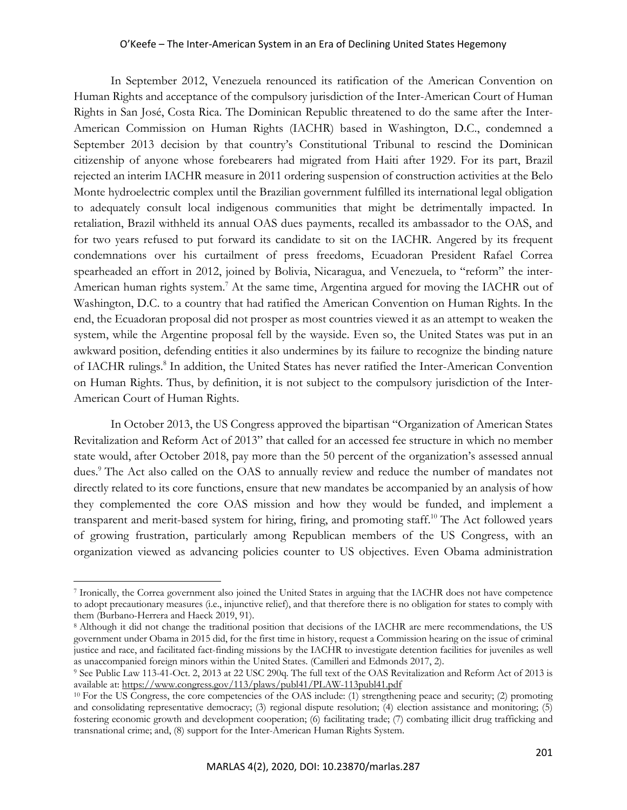In September 2012, Venezuela renounced its ratification of the American Convention on Human Rights and acceptance of the compulsory jurisdiction of the Inter-American Court of Human Rights in San José, Costa Rica. The Dominican Republic threatened to do the same after the Inter-American Commission on Human Rights (IACHR) based in Washington, D.C., condemned a September 2013 decision by that country's Constitutional Tribunal to rescind the Dominican citizenship of anyone whose forebearers had migrated from Haiti after 1929. For its part, Brazil rejected an interim IACHR measure in 2011 ordering suspension of construction activities at the Belo Monte hydroelectric complex until the Brazilian government fulfilled its international legal obligation to adequately consult local indigenous communities that might be detrimentally impacted. In retaliation, Brazil withheld its annual OAS dues payments, recalled its ambassador to the OAS, and for two years refused to put forward its candidate to sit on the IACHR. Angered by its frequent condemnations over his curtailment of press freedoms, Ecuadoran President Rafael Correa spearheaded an effort in 2012, joined by Bolivia, Nicaragua, and Venezuela, to "reform" the inter-American human rights system.<sup>7</sup> At the same time, Argentina argued for moving the IACHR out of Washington, D.C. to a country that had ratified the American Convention on Human Rights. In the end, the Ecuadoran proposal did not prosper as most countries viewed it as an attempt to weaken the system, while the Argentine proposal fell by the wayside. Even so, the United States was put in an awkward position, defending entities it also undermines by its failure to recognize the binding nature of IACHR rulings.<sup>8</sup> In addition, the United States has never ratified the Inter-American Convention on Human Rights. Thus, by definition, it is not subject to the compulsory jurisdiction of the Inter-American Court of Human Rights.

In October 2013, the US Congress approved the bipartisan "Organization of American States Revitalization and Reform Act of 2013" that called for an accessed fee structure in which no member state would, after October 2018, pay more than the 50 percent of the organization's assessed annual dues.<sup>9</sup> The Act also called on the OAS to annually review and reduce the number of mandates not directly related to its core functions, ensure that new mandates be accompanied by an analysis of how they complemented the core OAS mission and how they would be funded, and implement a transparent and merit-based system for hiring, firing, and promoting staff.<sup>10</sup> The Act followed years of growing frustration, particularly among Republican members of the US Congress, with an organization viewed as advancing policies counter to US objectives. Even Obama administration

<sup>7</sup> Ironically, the Correa government also joined the United States in arguing that the IACHR does not have competence to adopt precautionary measures (i.e., injunctive relief), and that therefore there is no obligation for states to comply with them (Burbano-Herrera and Haeck 2019, 91).<br><sup>8</sup> Although it did not change the traditional position that decisions of the IACHR are mere recommendations, the US

government under Obama in 2015 did, for the first time in history, request a Commission hearing on the issue of criminal justice and race, and facilitated fact-finding missions by the IACHR to investigate detention facilities for juveniles as well as unaccompanied foreign minors within the United States. (Camilleri and Edmonds 2017, 2).

<sup>9</sup> See Public Law 113-41-Oct. 2, 2013 at 22 USC 290q. The full text of the OAS Revitalization and Reform Act of 2013 is available at: https://www.congress.gov/113/plaws/publ41/PLAW-113publ41.pdf

<sup>10</sup> For the US Congress, the core competencies of the OAS include: (1) strengthening peace and security; (2) promoting and consolidating representative democracy; (3) regional dispute resolution; (4) election assistance and monitoring; (5) fostering economic growth and development cooperation; (6) facilitating trade; (7) combating illicit drug trafficking and transnational crime; and, (8) support for the Inter-American Human Rights System.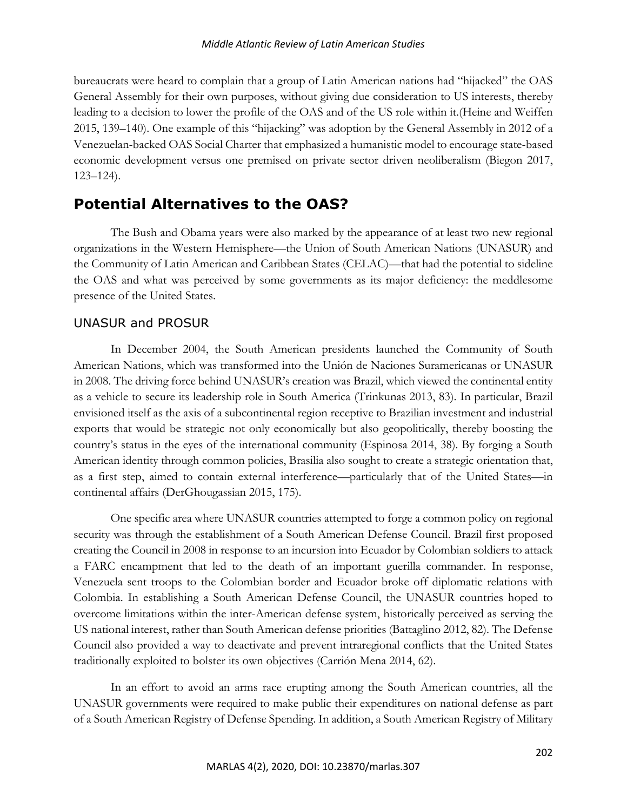bureaucrats were heard to complain that a group of Latin American nations had "hijacked" the OAS General Assembly for their own purposes, without giving due consideration to US interests, thereby leading to a decision to lower the profile of the OAS and of the US role within it.(Heine and Weiffen 2015, 139–140). One example of this "hijacking" was adoption by the General Assembly in 2012 of a Venezuelan-backed OAS Social Charter that emphasized a humanistic model to encourage state-based economic development versus one premised on private sector driven neoliberalism (Biegon 2017, 123–124).

## **Potential Alternatives to the OAS?**

The Bush and Obama years were also marked by the appearance of at least two new regional organizations in the Western Hemisphere—the Union of South American Nations (UNASUR) and the Community of Latin American and Caribbean States (CELAC)—that had the potential to sideline the OAS and what was perceived by some governments as its major deficiency: the meddlesome presence of the United States.

#### UNASUR and PROSUR

In December 2004, the South American presidents launched the Community of South American Nations, which was transformed into the Unión de Naciones Suramericanas or UNASUR in 2008. The driving force behind UNASUR's creation was Brazil, which viewed the continental entity as a vehicle to secure its leadership role in South America (Trinkunas 2013, 83). In particular, Brazil envisioned itself as the axis of a subcontinental region receptive to Brazilian investment and industrial exports that would be strategic not only economically but also geopolitically, thereby boosting the country's status in the eyes of the international community (Espinosa 2014, 38). By forging a South American identity through common policies, Brasilia also sought to create a strategic orientation that, as a first step, aimed to contain external interference—particularly that of the United States—in continental affairs (DerGhougassian 2015, 175).

One specific area where UNASUR countries attempted to forge a common policy on regional security was through the establishment of a South American Defense Council. Brazil first proposed creating the Council in 2008 in response to an incursion into Ecuador by Colombian soldiers to attack a FARC encampment that led to the death of an important guerilla commander. In response, Venezuela sent troops to the Colombian border and Ecuador broke off diplomatic relations with Colombia. In establishing a South American Defense Council, the UNASUR countries hoped to overcome limitations within the inter-American defense system, historically perceived as serving the US national interest, rather than South American defense priorities (Battaglino 2012, 82). The Defense Council also provided a way to deactivate and prevent intraregional conflicts that the United States traditionally exploited to bolster its own objectives (Carrión Mena 2014, 62).

In an effort to avoid an arms race erupting among the South American countries, all the UNASUR governments were required to make public their expenditures on national defense as part of a South American Registry of Defense Spending. In addition, a South American Registry of Military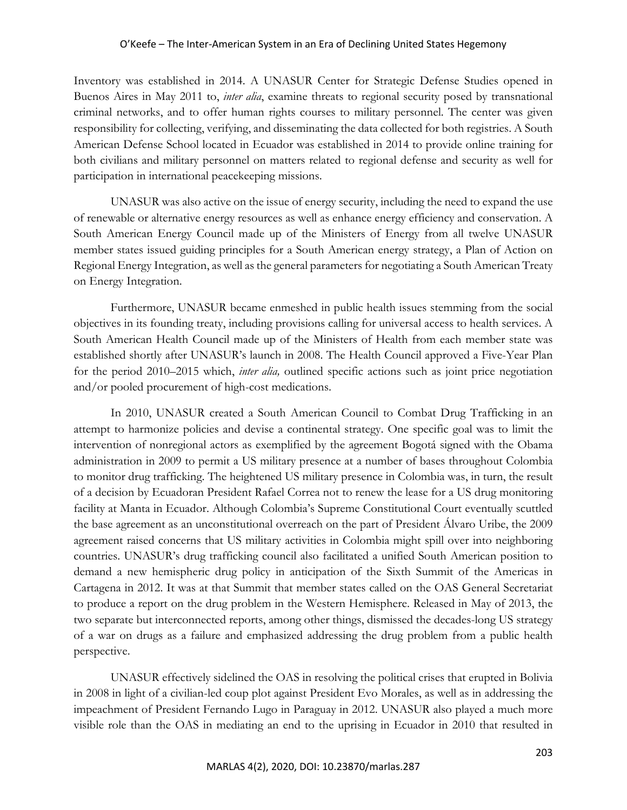Inventory was established in 2014. A UNASUR Center for Strategic Defense Studies opened in Buenos Aires in May 2011 to, *inter alia*, examine threats to regional security posed by transnational criminal networks, and to offer human rights courses to military personnel. The center was given responsibility for collecting, verifying, and disseminating the data collected for both registries. A South American Defense School located in Ecuador was established in 2014 to provide online training for both civilians and military personnel on matters related to regional defense and security as well for participation in international peacekeeping missions.

UNASUR was also active on the issue of energy security, including the need to expand the use of renewable or alternative energy resources as well as enhance energy efficiency and conservation. A South American Energy Council made up of the Ministers of Energy from all twelve UNASUR member states issued guiding principles for a South American energy strategy, a Plan of Action on Regional Energy Integration, as well as the general parameters for negotiating a South American Treaty on Energy Integration.

Furthermore, UNASUR became enmeshed in public health issues stemming from the social objectives in its founding treaty, including provisions calling for universal access to health services. A South American Health Council made up of the Ministers of Health from each member state was established shortly after UNASUR's launch in 2008. The Health Council approved a Five-Year Plan for the period 2010–2015 which, *inter alia,* outlined specific actions such as joint price negotiation and/or pooled procurement of high-cost medications.

In 2010, UNASUR created a South American Council to Combat Drug Trafficking in an attempt to harmonize policies and devise a continental strategy. One specific goal was to limit the intervention of nonregional actors as exemplified by the agreement Bogotá signed with the Obama administration in 2009 to permit a US military presence at a number of bases throughout Colombia to monitor drug trafficking. The heightened US military presence in Colombia was, in turn, the result of a decision by Ecuadoran President Rafael Correa not to renew the lease for a US drug monitoring facility at Manta in Ecuador. Although Colombia's Supreme Constitutional Court eventually scuttled the base agreement as an unconstitutional overreach on the part of President Álvaro Uribe, the 2009 agreement raised concerns that US military activities in Colombia might spill over into neighboring countries. UNASUR's drug trafficking council also facilitated a unified South American position to demand a new hemispheric drug policy in anticipation of the Sixth Summit of the Americas in Cartagena in 2012. It was at that Summit that member states called on the OAS General Secretariat to produce a report on the drug problem in the Western Hemisphere. Released in May of 2013, the two separate but interconnected reports, among other things, dismissed the decades-long US strategy of a war on drugs as a failure and emphasized addressing the drug problem from a public health perspective.

UNASUR effectively sidelined the OAS in resolving the political crises that erupted in Bolivia in 2008 in light of a civilian-led coup plot against President Evo Morales, as well as in addressing the impeachment of President Fernando Lugo in Paraguay in 2012. UNASUR also played a much more visible role than the OAS in mediating an end to the uprising in Ecuador in 2010 that resulted in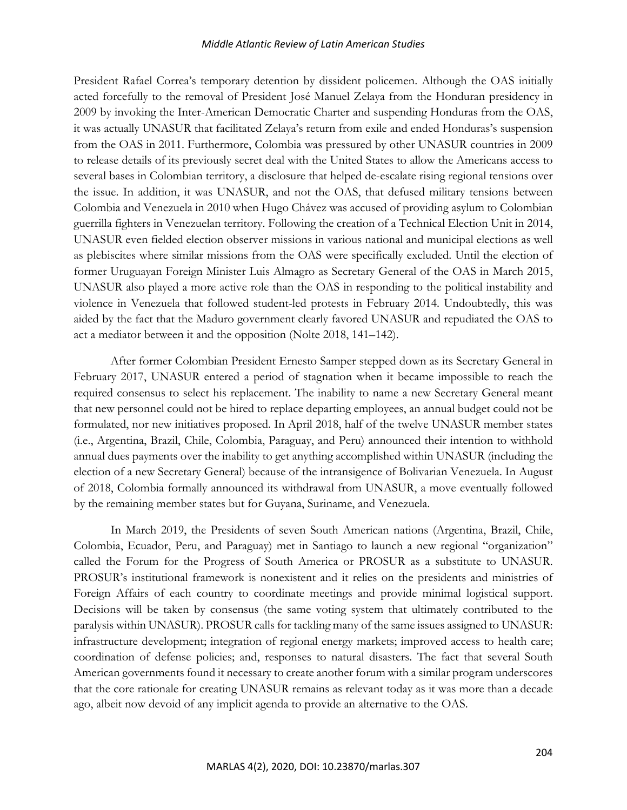#### *Middle Atlantic Review of Latin American Studies*

President Rafael Correa's temporary detention by dissident policemen. Although the OAS initially acted forcefully to the removal of President José Manuel Zelaya from the Honduran presidency in 2009 by invoking the Inter-American Democratic Charter and suspending Honduras from the OAS, it was actually UNASUR that facilitated Zelaya's return from exile and ended Honduras's suspension from the OAS in 2011. Furthermore, Colombia was pressured by other UNASUR countries in 2009 to release details of its previously secret deal with the United States to allow the Americans access to several bases in Colombian territory, a disclosure that helped de-escalate rising regional tensions over the issue. In addition, it was UNASUR, and not the OAS, that defused military tensions between Colombia and Venezuela in 2010 when Hugo Chávez was accused of providing asylum to Colombian guerrilla fighters in Venezuelan territory. Following the creation of a Technical Election Unit in 2014, UNASUR even fielded election observer missions in various national and municipal elections as well as plebiscites where similar missions from the OAS were specifically excluded. Until the election of former Uruguayan Foreign Minister Luis Almagro as Secretary General of the OAS in March 2015, UNASUR also played a more active role than the OAS in responding to the political instability and violence in Venezuela that followed student-led protests in February 2014. Undoubtedly, this was aided by the fact that the Maduro government clearly favored UNASUR and repudiated the OAS to act a mediator between it and the opposition (Nolte 2018, 141–142).

After former Colombian President Ernesto Samper stepped down as its Secretary General in February 2017, UNASUR entered a period of stagnation when it became impossible to reach the required consensus to select his replacement. The inability to name a new Secretary General meant that new personnel could not be hired to replace departing employees, an annual budget could not be formulated, nor new initiatives proposed. In April 2018, half of the twelve UNASUR member states (i.e., Argentina, Brazil, Chile, Colombia, Paraguay, and Peru) announced their intention to withhold annual dues payments over the inability to get anything accomplished within UNASUR (including the election of a new Secretary General) because of the intransigence of Bolivarian Venezuela. In August of 2018, Colombia formally announced its withdrawal from UNASUR, a move eventually followed by the remaining member states but for Guyana, Suriname, and Venezuela.

In March 2019, the Presidents of seven South American nations (Argentina, Brazil, Chile, Colombia, Ecuador, Peru, and Paraguay) met in Santiago to launch a new regional "organization" called the Forum for the Progress of South America or PROSUR as a substitute to UNASUR. PROSUR's institutional framework is nonexistent and it relies on the presidents and ministries of Foreign Affairs of each country to coordinate meetings and provide minimal logistical support. Decisions will be taken by consensus (the same voting system that ultimately contributed to the paralysis within UNASUR). PROSUR calls for tackling many of the same issues assigned to UNASUR: infrastructure development; integration of regional energy markets; improved access to health care; coordination of defense policies; and, responses to natural disasters. The fact that several South American governments found it necessary to create another forum with a similar program underscores that the core rationale for creating UNASUR remains as relevant today as it was more than a decade ago, albeit now devoid of any implicit agenda to provide an alternative to the OAS.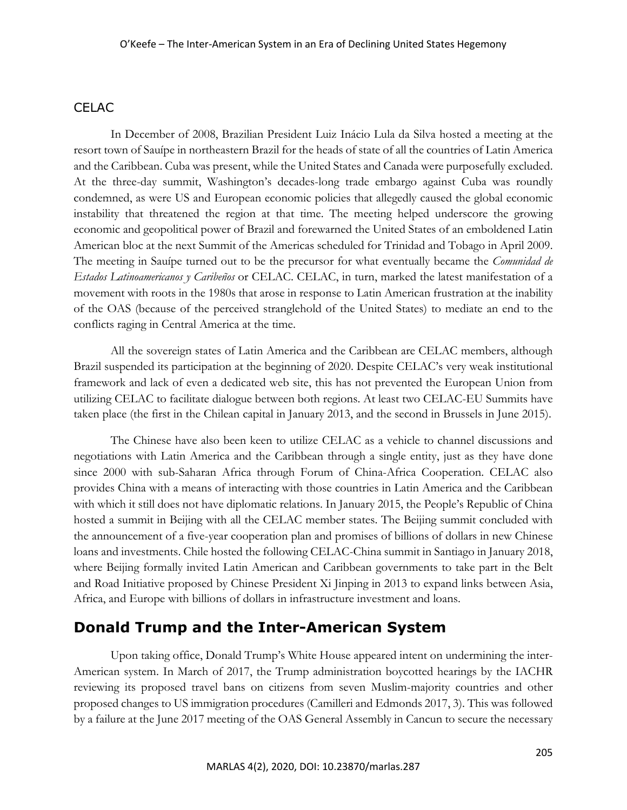### **CELAC**

In December of 2008, Brazilian President Luiz Inácio Lula da Silva hosted a meeting at the resort town of Sauípe in northeastern Brazil for the heads of state of all the countries of Latin America and the Caribbean. Cuba was present, while the United States and Canada were purposefully excluded. At the three-day summit, Washington's decades-long trade embargo against Cuba was roundly condemned, as were US and European economic policies that allegedly caused the global economic instability that threatened the region at that time. The meeting helped underscore the growing economic and geopolitical power of Brazil and forewarned the United States of an emboldened Latin American bloc at the next Summit of the Americas scheduled for Trinidad and Tobago in April 2009. The meeting in Sauípe turned out to be the precursor for what eventually became the *Comunidad de Estados Latinoamericanos y Caribeños* or CELAC. CELAC, in turn, marked the latest manifestation of a movement with roots in the 1980s that arose in response to Latin American frustration at the inability of the OAS (because of the perceived stranglehold of the United States) to mediate an end to the conflicts raging in Central America at the time.

All the sovereign states of Latin America and the Caribbean are CELAC members, although Brazil suspended its participation at the beginning of 2020. Despite CELAC's very weak institutional framework and lack of even a dedicated web site, this has not prevented the European Union from utilizing CELAC to facilitate dialogue between both regions. At least two CELAC-EU Summits have taken place (the first in the Chilean capital in January 2013, and the second in Brussels in June 2015).

The Chinese have also been keen to utilize CELAC as a vehicle to channel discussions and negotiations with Latin America and the Caribbean through a single entity, just as they have done since 2000 with sub-Saharan Africa through Forum of China-Africa Cooperation. CELAC also provides China with a means of interacting with those countries in Latin America and the Caribbean with which it still does not have diplomatic relations. In January 2015, the People's Republic of China hosted a summit in Beijing with all the CELAC member states. The Beijing summit concluded with the announcement of a five-year cooperation plan and promises of billions of dollars in new Chinese loans and investments. Chile hosted the following CELAC-China summit in Santiago in January 2018, where Beijing formally invited Latin American and Caribbean governments to take part in the Belt and Road Initiative proposed by Chinese President Xi Jinping in 2013 to expand links between Asia, Africa, and Europe with billions of dollars in infrastructure investment and loans.

## **Donald Trump and the Inter-American System**

Upon taking office, Donald Trump's White House appeared intent on undermining the inter-American system. In March of 2017, the Trump administration boycotted hearings by the IACHR reviewing its proposed travel bans on citizens from seven Muslim-majority countries and other proposed changes to US immigration procedures (Camilleri and Edmonds 2017, 3). This was followed by a failure at the June 2017 meeting of the OAS General Assembly in Cancun to secure the necessary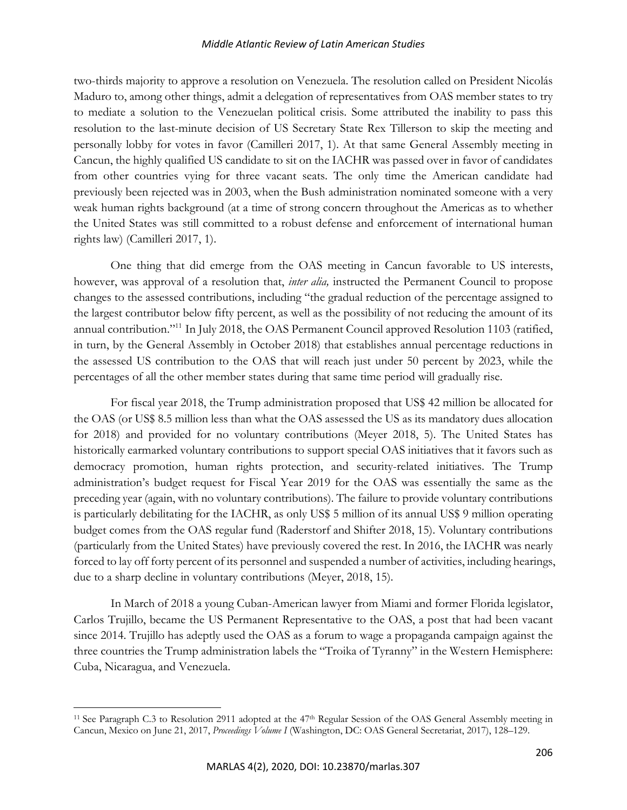#### *Middle Atlantic Review of Latin American Studies*

two-thirds majority to approve a resolution on Venezuela. The resolution called on President Nicolás Maduro to, among other things, admit a delegation of representatives from OAS member states to try to mediate a solution to the Venezuelan political crisis. Some attributed the inability to pass this resolution to the last-minute decision of US Secretary State Rex Tillerson to skip the meeting and personally lobby for votes in favor (Camilleri 2017, 1). At that same General Assembly meeting in Cancun, the highly qualified US candidate to sit on the IACHR was passed over in favor of candidates from other countries vying for three vacant seats. The only time the American candidate had previously been rejected was in 2003, when the Bush administration nominated someone with a very weak human rights background (at a time of strong concern throughout the Americas as to whether the United States was still committed to a robust defense and enforcement of international human rights law) (Camilleri 2017, 1).

One thing that did emerge from the OAS meeting in Cancun favorable to US interests, however, was approval of a resolution that, *inter alia,* instructed the Permanent Council to propose changes to the assessed contributions, including "the gradual reduction of the percentage assigned to the largest contributor below fifty percent, as well as the possibility of not reducing the amount of its annual contribution."11 In July 2018, the OAS Permanent Council approved Resolution 1103 (ratified, in turn, by the General Assembly in October 2018) that establishes annual percentage reductions in the assessed US contribution to the OAS that will reach just under 50 percent by 2023, while the percentages of all the other member states during that same time period will gradually rise.

For fiscal year 2018, the Trump administration proposed that US\$ 42 million be allocated for the OAS (or US\$ 8.5 million less than what the OAS assessed the US as its mandatory dues allocation for 2018) and provided for no voluntary contributions (Meyer 2018, 5). The United States has historically earmarked voluntary contributions to support special OAS initiatives that it favors such as democracy promotion, human rights protection, and security-related initiatives. The Trump administration's budget request for Fiscal Year 2019 for the OAS was essentially the same as the preceding year (again, with no voluntary contributions). The failure to provide voluntary contributions is particularly debilitating for the IACHR, as only US\$ 5 million of its annual US\$ 9 million operating budget comes from the OAS regular fund (Raderstorf and Shifter 2018, 15). Voluntary contributions (particularly from the United States) have previously covered the rest. In 2016, the IACHR was nearly forced to lay off forty percent of its personnel and suspended a number of activities, including hearings, due to a sharp decline in voluntary contributions (Meyer, 2018, 15).

In March of 2018 a young Cuban-American lawyer from Miami and former Florida legislator, Carlos Trujillo, became the US Permanent Representative to the OAS, a post that had been vacant since 2014. Trujillo has adeptly used the OAS as a forum to wage a propaganda campaign against the three countries the Trump administration labels the "Troika of Tyranny" in the Western Hemisphere: Cuba, Nicaragua, and Venezuela.

<sup>&</sup>lt;sup>11</sup> See Paragraph C.3 to Resolution 2911 adopted at the 47<sup>th</sup> Regular Session of the OAS General Assembly meeting in Cancun, Mexico on June 21, 2017, *Proceedings Volume I* (Washington, DC: OAS General Secretariat, 2017), 128–129.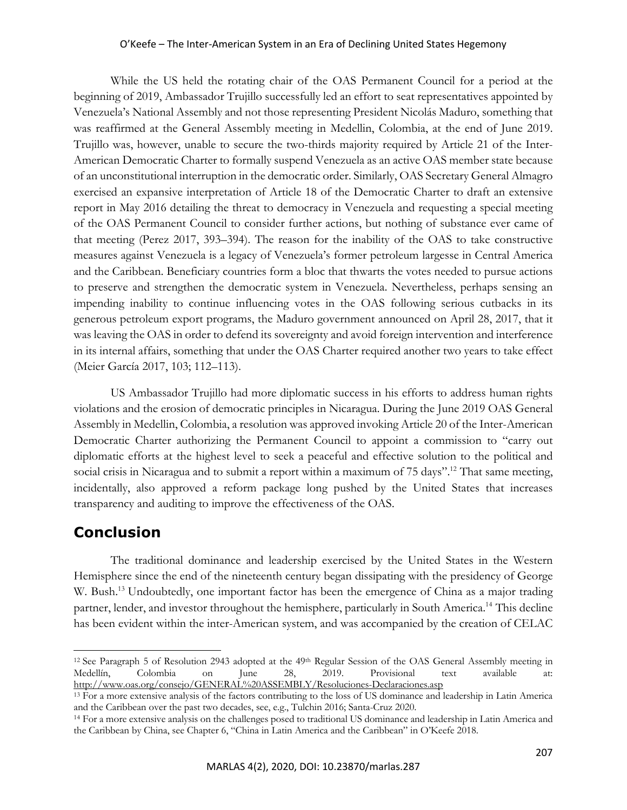While the US held the rotating chair of the OAS Permanent Council for a period at the beginning of 2019, Ambassador Trujillo successfully led an effort to seat representatives appointed by Venezuela's National Assembly and not those representing President Nicolás Maduro, something that was reaffirmed at the General Assembly meeting in Medellin, Colombia, at the end of June 2019. Trujillo was, however, unable to secure the two-thirds majority required by Article 21 of the Inter-American Democratic Charter to formally suspend Venezuela as an active OAS member state because of an unconstitutional interruption in the democratic order. Similarly, OAS Secretary General Almagro exercised an expansive interpretation of Article 18 of the Democratic Charter to draft an extensive report in May 2016 detailing the threat to democracy in Venezuela and requesting a special meeting of the OAS Permanent Council to consider further actions, but nothing of substance ever came of that meeting (Perez 2017, 393–394). The reason for the inability of the OAS to take constructive measures against Venezuela is a legacy of Venezuela's former petroleum largesse in Central America and the Caribbean. Beneficiary countries form a bloc that thwarts the votes needed to pursue actions to preserve and strengthen the democratic system in Venezuela. Nevertheless, perhaps sensing an impending inability to continue influencing votes in the OAS following serious cutbacks in its generous petroleum export programs, the Maduro government announced on April 28, 2017, that it was leaving the OAS in order to defend its sovereignty and avoid foreign intervention and interference in its internal affairs, something that under the OAS Charter required another two years to take effect (Meier García 2017, 103; 112–113).

US Ambassador Trujillo had more diplomatic success in his efforts to address human rights violations and the erosion of democratic principles in Nicaragua. During the June 2019 OAS General Assembly in Medellin, Colombia, a resolution was approved invoking Article 20 of the Inter-American Democratic Charter authorizing the Permanent Council to appoint a commission to "carry out diplomatic efforts at the highest level to seek a peaceful and effective solution to the political and social crisis in Nicaragua and to submit a report within a maximum of 75 days".<sup>12</sup> That same meeting, incidentally, also approved a reform package long pushed by the United States that increases transparency and auditing to improve the effectiveness of the OAS.

## **Conclusion**

The traditional dominance and leadership exercised by the United States in the Western Hemisphere since the end of the nineteenth century began dissipating with the presidency of George W. Bush.<sup>13</sup> Undoubtedly, one important factor has been the emergence of China as a major trading partner, lender, and investor throughout the hemisphere, particularly in South America.14 This decline has been evident within the inter-American system, and was accompanied by the creation of CELAC

<sup>&</sup>lt;sup>12</sup> See Paragraph 5 of Resolution 2943 adopted at the  $49<sup>th</sup>$  Regular Session of the OAS General Assembly meeting in Medellín, Colombia on June 28, 2019. Provisional text available at: http://www.oas.org/consejo/GENERAL%20ASSEMBLY/Resoluciones-Declaraciones.asp

<sup>&</sup>lt;sup>13</sup> For a more extensive analysis of the factors contributing to the loss of US dominance and leadership in Latin America and the Caribbean over the past two decades, see, e.g., Tulchin 2016; Santa-Cruz 2020. 14 For a more extensive analysis on the challenges posed to traditional US dominance and leadership in Latin America and

the Caribbean by China, see Chapter 6, "China in Latin America and the Caribbean" in O'Keefe 2018.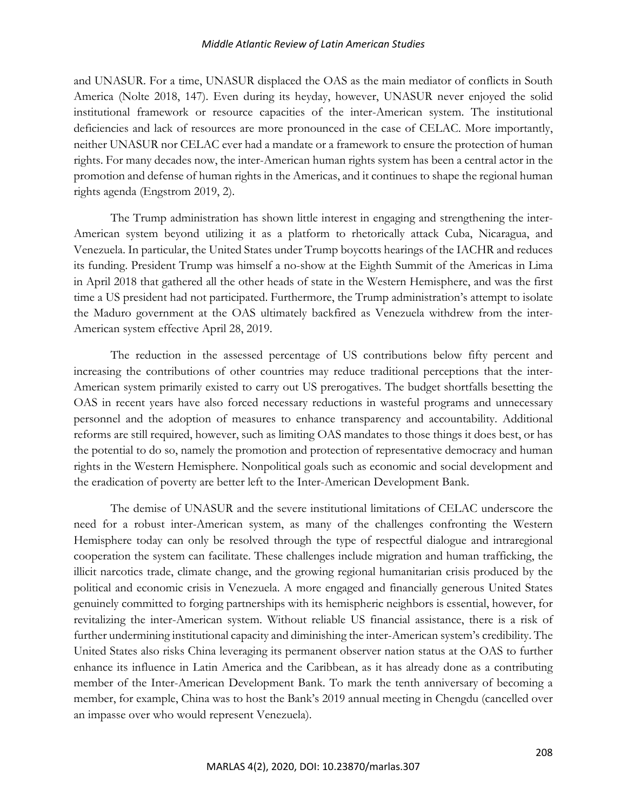and UNASUR. For a time, UNASUR displaced the OAS as the main mediator of conflicts in South America (Nolte 2018, 147). Even during its heyday, however, UNASUR never enjoyed the solid institutional framework or resource capacities of the inter-American system. The institutional deficiencies and lack of resources are more pronounced in the case of CELAC. More importantly, neither UNASUR nor CELAC ever had a mandate or a framework to ensure the protection of human rights. For many decades now, the inter-American human rights system has been a central actor in the promotion and defense of human rights in the Americas, and it continues to shape the regional human rights agenda (Engstrom 2019, 2).

The Trump administration has shown little interest in engaging and strengthening the inter-American system beyond utilizing it as a platform to rhetorically attack Cuba, Nicaragua, and Venezuela. In particular, the United States under Trump boycotts hearings of the IACHR and reduces its funding. President Trump was himself a no-show at the Eighth Summit of the Americas in Lima in April 2018 that gathered all the other heads of state in the Western Hemisphere, and was the first time a US president had not participated. Furthermore, the Trump administration's attempt to isolate the Maduro government at the OAS ultimately backfired as Venezuela withdrew from the inter-American system effective April 28, 2019.

The reduction in the assessed percentage of US contributions below fifty percent and increasing the contributions of other countries may reduce traditional perceptions that the inter-American system primarily existed to carry out US prerogatives. The budget shortfalls besetting the OAS in recent years have also forced necessary reductions in wasteful programs and unnecessary personnel and the adoption of measures to enhance transparency and accountability. Additional reforms are still required, however, such as limiting OAS mandates to those things it does best, or has the potential to do so, namely the promotion and protection of representative democracy and human rights in the Western Hemisphere. Nonpolitical goals such as economic and social development and the eradication of poverty are better left to the Inter-American Development Bank.

The demise of UNASUR and the severe institutional limitations of CELAC underscore the need for a robust inter-American system, as many of the challenges confronting the Western Hemisphere today can only be resolved through the type of respectful dialogue and intraregional cooperation the system can facilitate. These challenges include migration and human trafficking, the illicit narcotics trade, climate change, and the growing regional humanitarian crisis produced by the political and economic crisis in Venezuela. A more engaged and financially generous United States genuinely committed to forging partnerships with its hemispheric neighbors is essential, however, for revitalizing the inter-American system. Without reliable US financial assistance, there is a risk of further undermining institutional capacity and diminishing the inter-American system's credibility. The United States also risks China leveraging its permanent observer nation status at the OAS to further enhance its influence in Latin America and the Caribbean, as it has already done as a contributing member of the Inter-American Development Bank. To mark the tenth anniversary of becoming a member, for example, China was to host the Bank's 2019 annual meeting in Chengdu (cancelled over an impasse over who would represent Venezuela).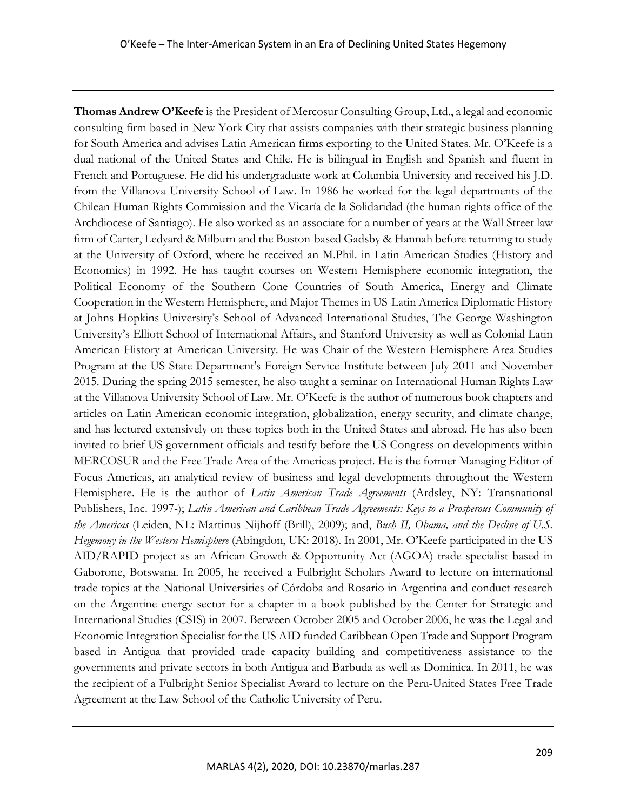**Thomas Andrew O'Keefe** is the President of Mercosur Consulting Group, Ltd., a legal and economic consulting firm based in New York City that assists companies with their strategic business planning for South America and advises Latin American firms exporting to the United States. Mr. O'Keefe is a dual national of the United States and Chile. He is bilingual in English and Spanish and fluent in French and Portuguese. He did his undergraduate work at Columbia University and received his J.D. from the Villanova University School of Law. In 1986 he worked for the legal departments of the Chilean Human Rights Commission and the Vicaría de la Solidaridad (the human rights office of the Archdiocese of Santiago). He also worked as an associate for a number of years at the Wall Street law firm of Carter, Ledyard & Milburn and the Boston-based Gadsby & Hannah before returning to study at the University of Oxford, where he received an M.Phil. in Latin American Studies (History and Economics) in 1992. He has taught courses on Western Hemisphere economic integration, the Political Economy of the Southern Cone Countries of South America, Energy and Climate Cooperation in the Western Hemisphere, and Major Themes in US-Latin America Diplomatic History at Johns Hopkins University's School of Advanced International Studies, The George Washington University's Elliott School of International Affairs, and Stanford University as well as Colonial Latin American History at American University. He was Chair of the Western Hemisphere Area Studies Program at the US State Department's Foreign Service Institute between July 2011 and November 2015. During the spring 2015 semester, he also taught a seminar on International Human Rights Law at the Villanova University School of Law. Mr. O'Keefe is the author of numerous book chapters and articles on Latin American economic integration, globalization, energy security, and climate change, and has lectured extensively on these topics both in the United States and abroad. He has also been invited to brief US government officials and testify before the US Congress on developments within MERCOSUR and the Free Trade Area of the Americas project. He is the former Managing Editor of Focus Americas, an analytical review of business and legal developments throughout the Western Hemisphere. He is the author of *Latin American Trade Agreements* (Ardsley, NY: Transnational Publishers, Inc. 1997-); *Latin American and Caribbean Trade Agreements: Keys to a Prosperous Community of the Americas* (Leiden, NL: Martinus Nijhoff (Brill), 2009); and, *Bush II, Obama, and the Decline of U.S. Hegemony in the Western Hemisphere* (Abingdon, UK: 2018). In 2001, Mr. O'Keefe participated in the US AID/RAPID project as an African Growth & Opportunity Act (AGOA) trade specialist based in Gaborone, Botswana. In 2005, he received a Fulbright Scholars Award to lecture on international trade topics at the National Universities of Córdoba and Rosario in Argentina and conduct research on the Argentine energy sector for a chapter in a book published by the Center for Strategic and International Studies (CSIS) in 2007. Between October 2005 and October 2006, he was the Legal and Economic Integration Specialist for the US AID funded Caribbean Open Trade and Support Program based in Antigua that provided trade capacity building and competitiveness assistance to the governments and private sectors in both Antigua and Barbuda as well as Dominica. In 2011, he was the recipient of a Fulbright Senior Specialist Award to lecture on the Peru-United States Free Trade Agreement at the Law School of the Catholic University of Peru.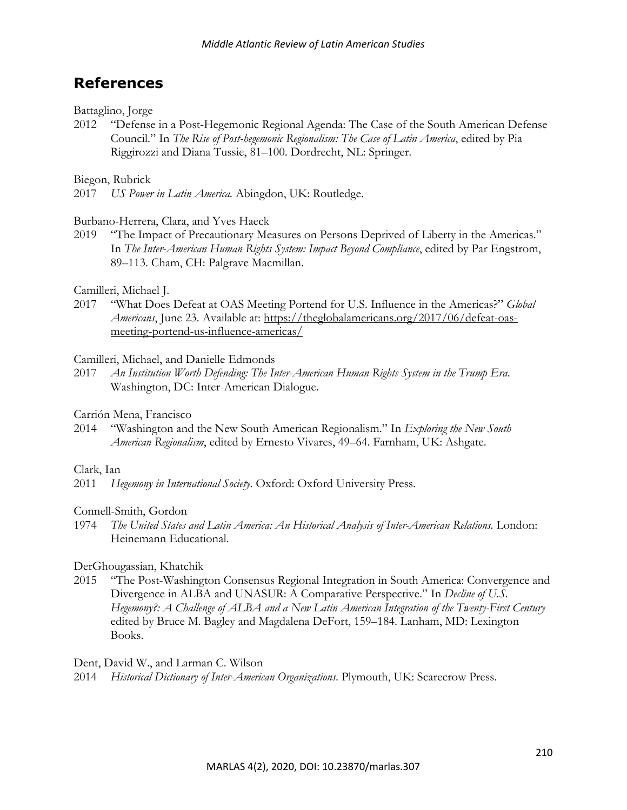## **References**

#### Battaglino, Jorge

2012 "Defense in a Post-Hegemonic Regional Agenda: The Case of the South American Defense Council." In *The Rise of Post-hegemonic Regionalism: The Case of Latin America*, edited by Pia Riggirozzi and Diana Tussie, 81–100. Dordrecht, NL: Springer.

#### Biegon, Rubrick

2017 *US Power in Latin America.* Abingdon, UK: Routledge.

#### Burbano-Herrera, Clara, and Yves Haeck

2019 "The Impact of Precautionary Measures on Persons Deprived of Liberty in the Americas." In *The Inter-American Human Rights System: Impact Beyond Compliance*, edited by Par Engstrom, 89–113. Cham, CH: Palgrave Macmillan.

#### Camilleri, Michael J.

2017 "What Does Defeat at OAS Meeting Portend for U.S. Influence in the Americas?" *Global Americans*, June 23. Available at: https://theglobalamericans.org/2017/06/defeat-oasmeeting-portend-us-influence-americas/

#### Camilleri, Michael, and Danielle Edmonds

2017 *An Institution Worth Defending: The Inter-American Human Rights System in the Trump Era*. Washington, DC: Inter-American Dialogue.

#### Carrión Mena, Francisco

2014 "Washington and the New South American Regionalism." In *Exploring the New South American Regionalism*, edited by Ernesto Vivares, 49–64. Farnham, UK: Ashgate.

#### Clark, Ian

2011 *Hegemony in International Society.* Oxford: Oxford University Press.

#### Connell-Smith, Gordon

1974 *The United States and Latin America: An Historical Analysis of Inter-American Relations.* London: Heinemann Educational.

#### DerGhougassian, Khatchik

2015 "The Post-Washington Consensus Regional Integration in South America: Convergence and Divergence in ALBA and UNASUR: A Comparative Perspective." In *Decline of U.S. Hegemony?: A Challenge of ALBA and a New Latin American Integration of the Twenty-First Century* edited by Bruce M. Bagley and Magdalena DeFort, 159–184. Lanham, MD: Lexington Books.

Dent, David W., and Larman C. Wilson

2014 *Historical Dictionary of Inter-American Organizations*. Plymouth, UK: Scarecrow Press.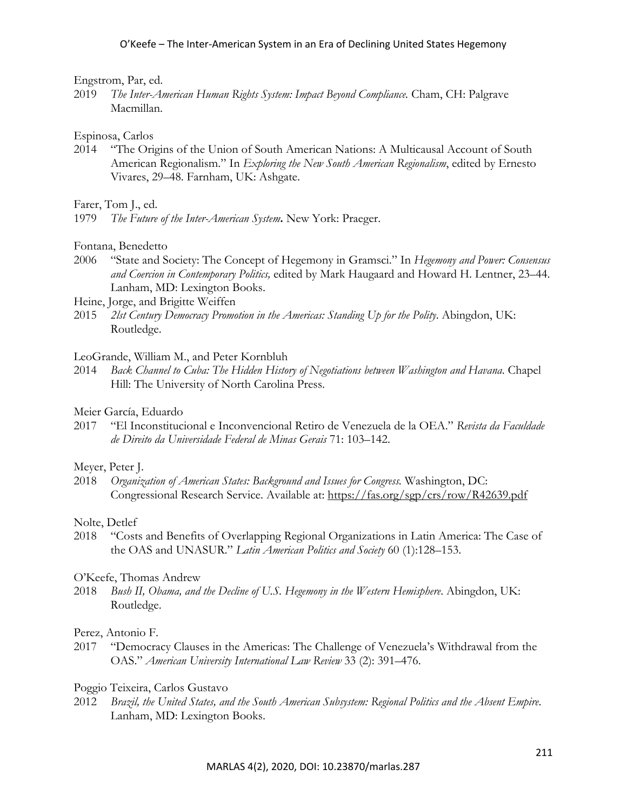#### Engstrom, Par, ed.

2019 *The Inter-American Human Rights System: Impact Beyond Compliance.* Cham, CH: Palgrave Macmillan.

#### Espinosa, Carlos

2014 "The Origins of the Union of South American Nations: A Multicausal Account of South American Regionalism." In *Exploring the New South American Regionalism*, edited by Ernesto Vivares, 29–48. Farnham, UK: Ashgate.

Farer, Tom J., ed.

1979 *The Future of the Inter-American System***.** New York: Praeger.

Fontana, Benedetto

- 2006 "State and Society: The Concept of Hegemony in Gramsci." In *Hegemony and Power: Consensus and Coercion in Contemporary Politics,* edited by Mark Haugaard and Howard H. Lentner, 23–44. Lanham, MD: Lexington Books.
- Heine, Jorge, and Brigitte Weiffen
- 2015 *2lst Century Democracy Promotion in the Americas: Standing Up for the Polity*. Abingdon, UK: Routledge.

LeoGrande, William M., and Peter Kornbluh

2014 *Back Channel to Cuba: The Hidden History of Negotiations between Washington and Havana*. Chapel Hill: The University of North Carolina Press.

#### Meier García, Eduardo

2017 "El Inconstitucional e Inconvencional Retiro de Venezuela de la OEA." *Revista da Faculdade de Direito da Universidade Federal de Minas Gerais* 71: 103–142.

#### Meyer, Peter J.

2018 *Organization of American States: Background and Issues for Congress.* Washington, DC: Congressional Research Service. Available at: https://fas.org/sgp/crs/row/R42639.pdf

#### Nolte, Detlef

2018 "Costs and Benefits of Overlapping Regional Organizations in Latin America: The Case of the OAS and UNASUR." *Latin American Politics and Society* 60 (1):128–153.

#### O'Keefe, Thomas Andrew

2018 *Bush II, Obama, and the Decline of U.S. Hegemony in the Western Hemisphere*. Abingdon, UK: Routledge.

#### Perez, Antonio F.

- 2017 "Democracy Clauses in the Americas: The Challenge of Venezuela's Withdrawal from the OAS." *American University International Law Review* 33 (2): 391–476.
- Poggio Teixeira, Carlos Gustavo
- 2012 *Brazil, the United States, and the South American Subsystem: Regional Politics and the Absent Empire*. Lanham, MD: Lexington Books.